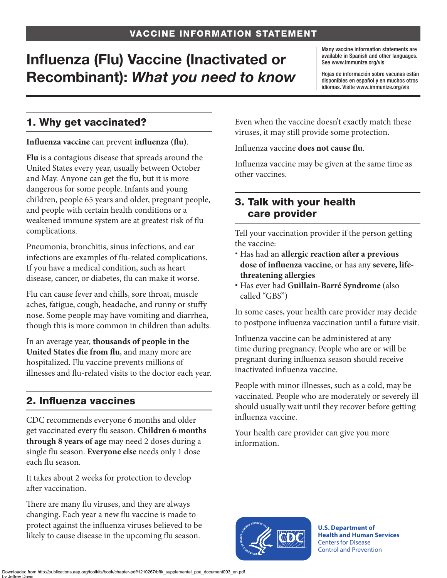# Influenza (Flu) Vaccine (Inactivated or Recombinant): *What you need to know*

Many vaccine information statements are available in Spanish and other languages. See [www.immunize.org/vis](http://www.immunize.org/vis)

Hojas de información sobre vacunas están disponibles en español y en muchos otros idiomas. Visite [www.immunize.org/vis](http://www.immunize.org/vis)

### 1. Why get vaccinated?

#### **Influenza vaccine** can prevent **influenza (flu)**.

**Flu** is a contagious disease that spreads around the United States every year, usually between October and May. Anyone can get the flu, but it is more dangerous for some people. Infants and young children, people 65 years and older, pregnant people, and people with certain health conditions or a weakened immune system are at greatest risk of flu complications.

Pneumonia, bronchitis, sinus infections, and ear infections are examples of flu-related complications. If you have a medical condition, such as heart disease, cancer, or diabetes, flu can make it worse.

Flu can cause fever and chills, sore throat, muscle aches, fatigue, cough, headache, and runny or stuffy nose. Some people may have vomiting and diarrhea, though this is more common in children than adults.

In an average year, **thousands of people in the United States die from flu**, and many more are hospitalized. Flu vaccine prevents millions of illnesses and flu-related visits to the doctor each year.

#### 2. Influenza vaccines

CDC recommends everyone 6 months and older get vaccinated every flu season. **Children 6 months through 8 years of age** may need 2 doses during a single flu season. **Everyone else** needs only 1 dose each flu season.

It takes about 2 weeks for protection to develop after vaccination.

There are many flu viruses, and they are always changing. Each year a new flu vaccine is made to protect against the influenza viruses believed to be likely to cause disease in the upcoming flu season.

Even when the vaccine doesn't exactly match these viruses, it may still provide some protection.

Influenza vaccine **does not cause flu**.

Influenza vaccine may be given at the same time as other vaccines.

#### 3. Talk with your health care provider

Tell your vaccination provider if the person getting the vaccine:

- Has had an **allergic reaction after a previous dose of influenza vaccine**, or has any **severe, lifethreatening allergies**
- Has ever had **Guillain-Barré Syndrome** (also called "GBS")

In some cases, your health care provider may decide to postpone influenza vaccination until a future visit.

Influenza vaccine can be administered at any time during pregnancy. People who are or will be pregnant during influenza season should receive inactivated influenza vaccine.

People with minor illnesses, such as a cold, may be vaccinated. People who are moderately or severely ill should usually wait until they recover before getting influenza vaccine.

Your health care provider can give you more information.



**U.S. Department of Health and Human Services**  Centers for Disease Control and Prevention